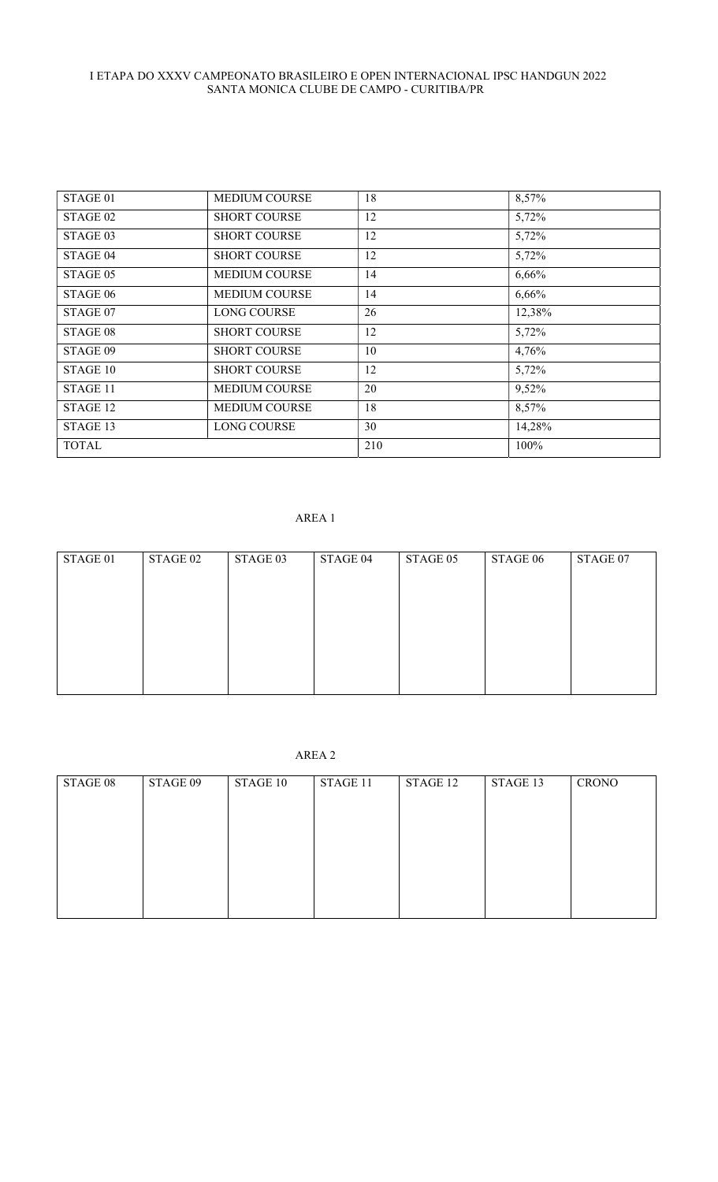| STAGE 01     | <b>MEDIUM COURSE</b> | 18  | 8,57%  |
|--------------|----------------------|-----|--------|
| STAGE 02     | <b>SHORT COURSE</b>  | 12  | 5,72%  |
| STAGE 03     | <b>SHORT COURSE</b>  | 12  | 5,72%  |
| STAGE 04     | <b>SHORT COURSE</b>  | 12  | 5,72%  |
| STAGE 05     | <b>MEDIUM COURSE</b> | 14  | 6,66%  |
| STAGE 06     | <b>MEDIUM COURSE</b> | 14  | 6,66%  |
| STAGE 07     | <b>LONG COURSE</b>   | 26  | 12,38% |
| STAGE 08     | <b>SHORT COURSE</b>  | 12  | 5,72%  |
| STAGE 09     | <b>SHORT COURSE</b>  | 10  | 4,76%  |
| STAGE 10     | <b>SHORT COURSE</b>  | 12  | 5,72%  |
| STAGE 11     | <b>MEDIUM COURSE</b> | 20  | 9,52%  |
| STAGE 12     | <b>MEDIUM COURSE</b> | 18  | 8,57%  |
| STAGE 13     | <b>LONG COURSE</b>   | 30  | 14,28% |
| <b>TOTAL</b> |                      | 210 | 100%   |

# AREA 1

| STAGE 01 | STAGE 02 | STAGE 03 | STAGE 04 | STAGE 05 | STAGE 06 | STAGE 07 |
|----------|----------|----------|----------|----------|----------|----------|
|          |          |          |          |          |          |          |
|          |          |          |          |          |          |          |
|          |          |          |          |          |          |          |
|          |          |          |          |          |          |          |
|          |          |          |          |          |          |          |
|          |          |          |          |          |          |          |
|          |          |          |          |          |          |          |

AREA 2

| STAGE 08 | STAGE 09 | STAGE 10 | STAGE 11 | STAGE 12 | STAGE 13 | <b>CRONO</b> |
|----------|----------|----------|----------|----------|----------|--------------|
|          |          |          |          |          |          |              |
|          |          |          |          |          |          |              |
|          |          |          |          |          |          |              |
|          |          |          |          |          |          |              |
|          |          |          |          |          |          |              |
|          |          |          |          |          |          |              |
|          |          |          |          |          |          |              |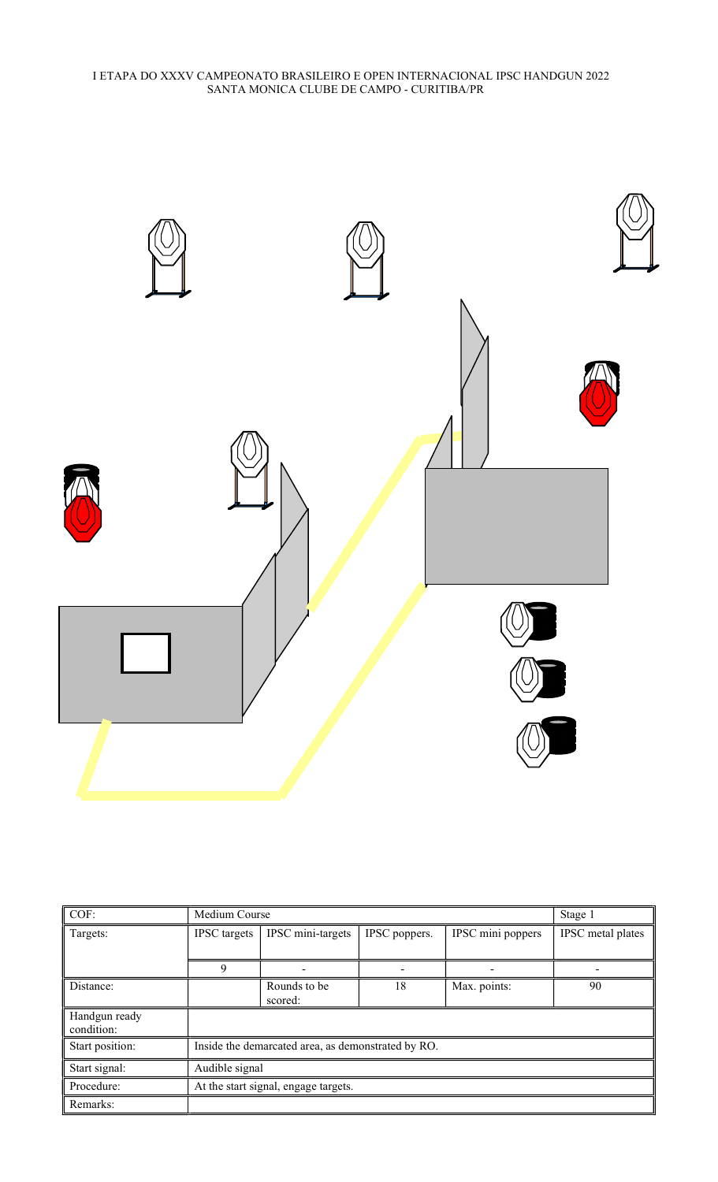

| COF:                        | Medium Course                        | Stage 1                                            |               |                   |                   |  |  |
|-----------------------------|--------------------------------------|----------------------------------------------------|---------------|-------------------|-------------------|--|--|
| Targets:                    | <b>IPSC</b> targets                  | IPSC mini-targets                                  | IPSC poppers. | IPSC mini poppers | IPSC metal plates |  |  |
|                             |                                      |                                                    |               |                   |                   |  |  |
|                             | 9                                    |                                                    |               |                   |                   |  |  |
| Distance:                   |                                      | Rounds to be                                       | 18            | Max. points:      | 90                |  |  |
|                             |                                      | scored:                                            |               |                   |                   |  |  |
| Handgun ready<br>condition: |                                      |                                                    |               |                   |                   |  |  |
| Start position:             |                                      | Inside the demarcated area, as demonstrated by RO. |               |                   |                   |  |  |
| Start signal:               | Audible signal                       |                                                    |               |                   |                   |  |  |
| Procedure:                  | At the start signal, engage targets. |                                                    |               |                   |                   |  |  |
| Remarks:                    |                                      |                                                    |               |                   |                   |  |  |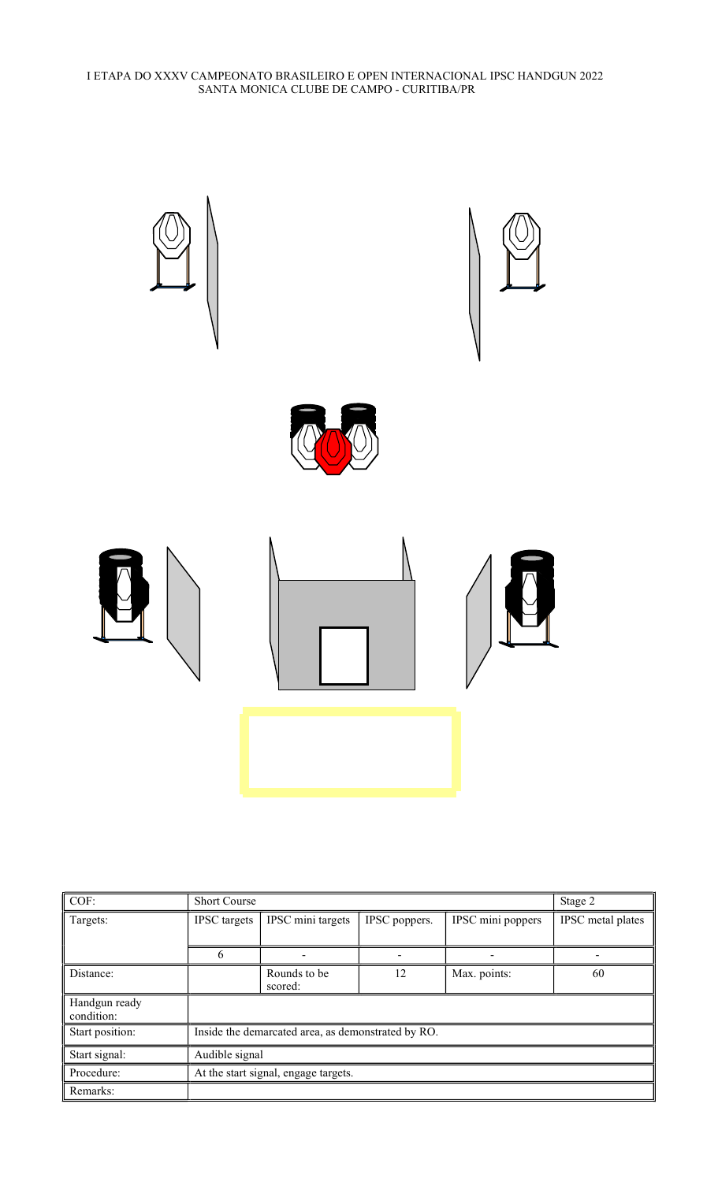

| COF:                        | <b>Short Course</b>                  |                                                    |               |                   | Stage 2           |  |  |  |
|-----------------------------|--------------------------------------|----------------------------------------------------|---------------|-------------------|-------------------|--|--|--|
| Targets:                    | <b>IPSC</b> targets                  | IPSC mini targets                                  | IPSC poppers. | IPSC mini poppers | IPSC metal plates |  |  |  |
|                             | 6                                    |                                                    |               |                   |                   |  |  |  |
| Distance:                   |                                      | Rounds to be<br>scored:                            | 12            | Max. points:      | 60                |  |  |  |
| Handgun ready<br>condition: |                                      |                                                    |               |                   |                   |  |  |  |
| Start position:             |                                      | Inside the demarcated area, as demonstrated by RO. |               |                   |                   |  |  |  |
| Start signal:               | Audible signal                       |                                                    |               |                   |                   |  |  |  |
| Procedure:                  | At the start signal, engage targets. |                                                    |               |                   |                   |  |  |  |
| Remarks:                    |                                      |                                                    |               |                   |                   |  |  |  |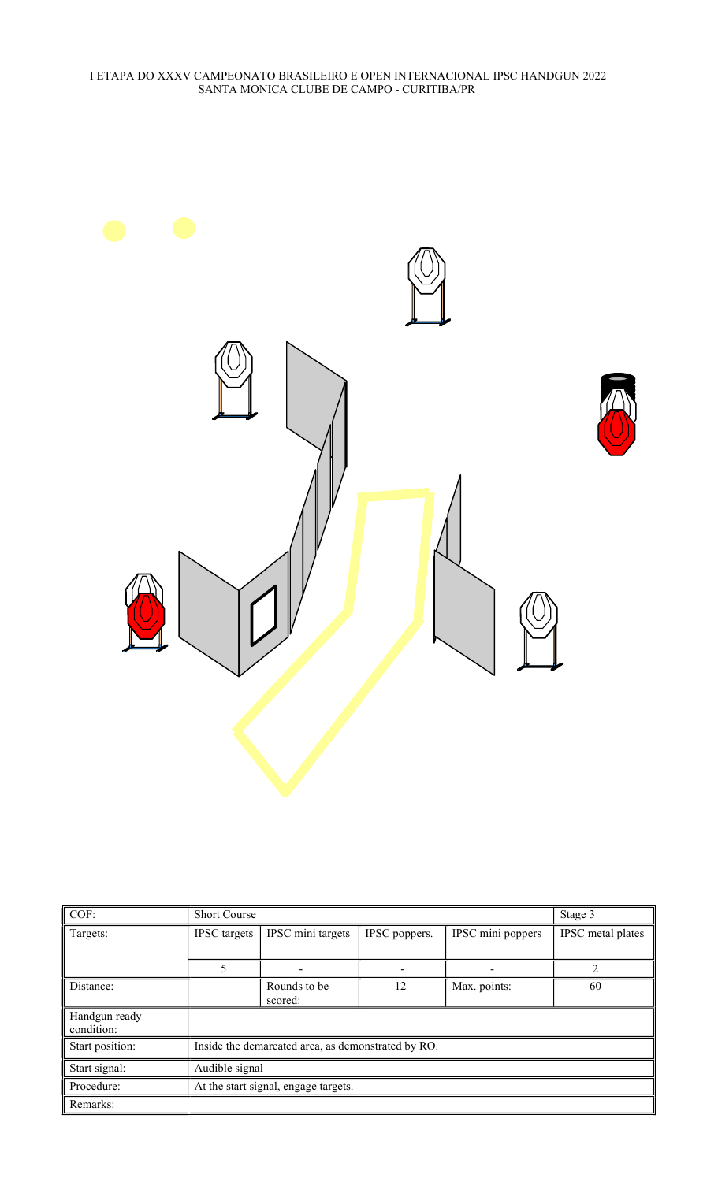

| COF:                        | <b>Short Course</b>                  |                                                    |               |                   |                   |  |  |  |
|-----------------------------|--------------------------------------|----------------------------------------------------|---------------|-------------------|-------------------|--|--|--|
| Targets:                    | <b>IPSC</b> targets                  | IPSC mini targets                                  | IPSC poppers. | IPSC mini poppers | IPSC metal plates |  |  |  |
|                             |                                      |                                                    |               |                   |                   |  |  |  |
|                             | 5                                    |                                                    |               |                   | $\mathcal{D}$     |  |  |  |
| Distance:                   |                                      | Rounds to be<br>scored:                            | 12            | Max. points:      | 60                |  |  |  |
| Handgun ready<br>condition: |                                      |                                                    |               |                   |                   |  |  |  |
| Start position:             |                                      | Inside the demarcated area, as demonstrated by RO. |               |                   |                   |  |  |  |
| Start signal:               | Audible signal                       |                                                    |               |                   |                   |  |  |  |
| Procedure:                  | At the start signal, engage targets. |                                                    |               |                   |                   |  |  |  |
| Remarks:                    |                                      |                                                    |               |                   |                   |  |  |  |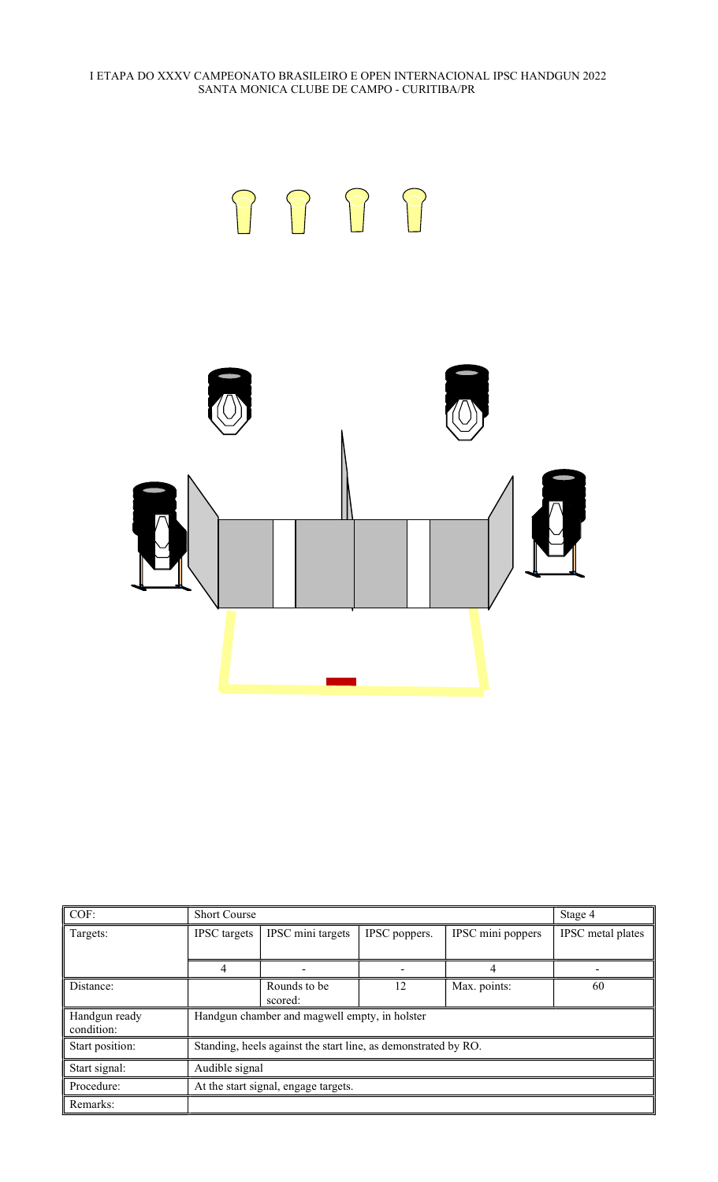

| COF:                        | <b>Short Course</b> |                                                                |               |                   | Stage 4           |  |  |  |
|-----------------------------|---------------------|----------------------------------------------------------------|---------------|-------------------|-------------------|--|--|--|
| Targets:                    | <b>IPSC</b> targets | IPSC mini targets                                              | IPSC poppers. | IPSC mini poppers | IPSC metal plates |  |  |  |
|                             | 4                   |                                                                |               | 4                 |                   |  |  |  |
| Distance:                   |                     | Rounds to be<br>scored:                                        | 12            | Max. points:      | 60                |  |  |  |
| Handgun ready<br>condition: |                     | Handgun chamber and magwell empty, in holster                  |               |                   |                   |  |  |  |
| Start position:             |                     | Standing, heels against the start line, as demonstrated by RO. |               |                   |                   |  |  |  |
| Start signal:               | Audible signal      |                                                                |               |                   |                   |  |  |  |
| Procedure:                  |                     | At the start signal, engage targets.                           |               |                   |                   |  |  |  |
| Remarks:                    |                     |                                                                |               |                   |                   |  |  |  |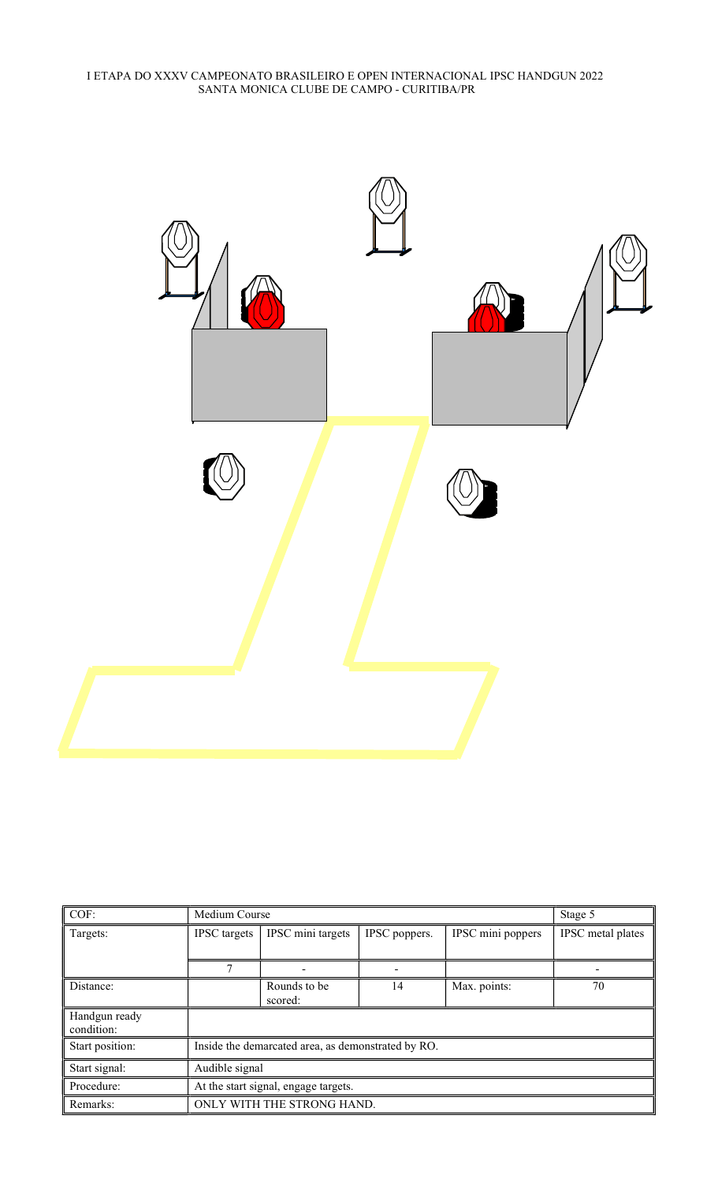

| COF:                        | Medium Course                                      | Stage 5                    |               |                   |                   |  |
|-----------------------------|----------------------------------------------------|----------------------------|---------------|-------------------|-------------------|--|
| Targets:                    | <b>IPSC</b> targets                                | IPSC mini targets          | IPSC poppers. | IPSC mini poppers | IPSC metal plates |  |
|                             |                                                    |                            |               |                   |                   |  |
|                             |                                                    |                            |               |                   |                   |  |
| Distance:                   |                                                    | Rounds to be<br>scored:    | 14            | Max. points:      | 70                |  |
| Handgun ready<br>condition: |                                                    |                            |               |                   |                   |  |
| Start position:             | Inside the demarcated area, as demonstrated by RO. |                            |               |                   |                   |  |
| Start signal:               | Audible signal                                     |                            |               |                   |                   |  |
| Procedure:                  | At the start signal, engage targets.               |                            |               |                   |                   |  |
| Remarks:                    |                                                    | ONLY WITH THE STRONG HAND. |               |                   |                   |  |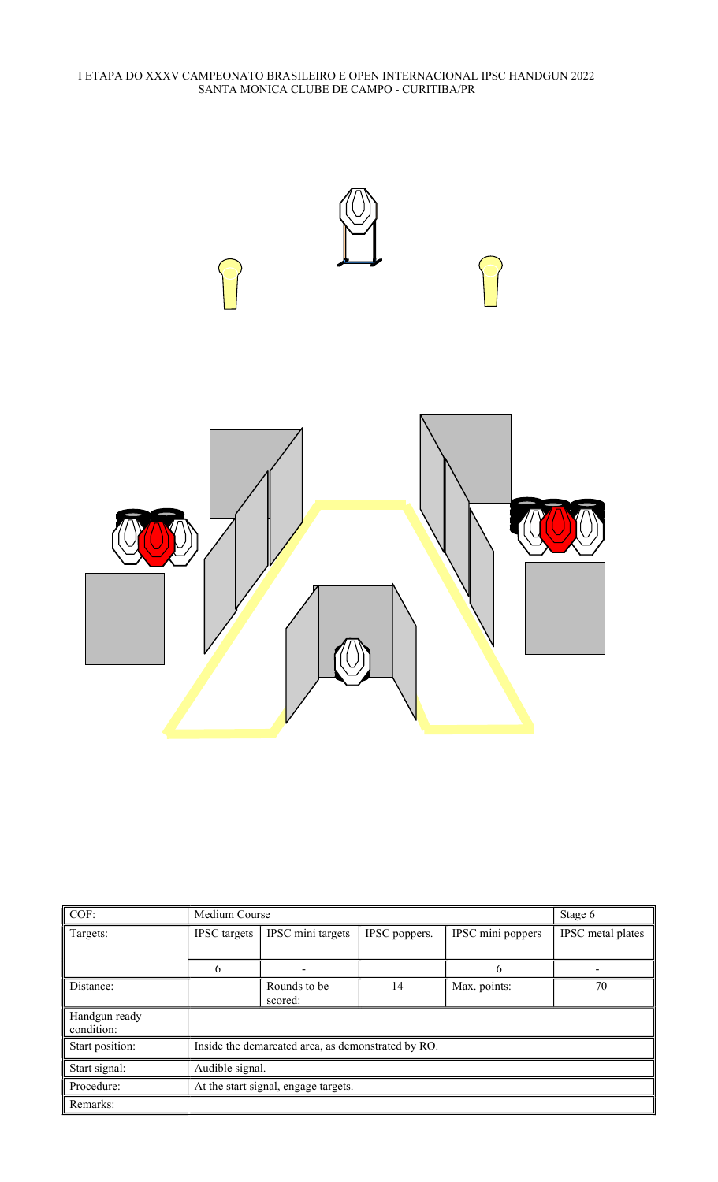

| COF:                        |                                      | Medium Course                                      |               |                   |                   |  |
|-----------------------------|--------------------------------------|----------------------------------------------------|---------------|-------------------|-------------------|--|
| Targets:                    | <b>IPSC</b> targets                  | IPSC mini targets                                  | IPSC poppers. | IPSC mini poppers | IPSC metal plates |  |
|                             | h                                    |                                                    |               |                   |                   |  |
| Distance:                   |                                      | Rounds to be<br>scored:                            | 14            | Max. points:      | 70                |  |
| Handgun ready<br>condition: |                                      |                                                    |               |                   |                   |  |
| Start position:             |                                      | Inside the demarcated area, as demonstrated by RO. |               |                   |                   |  |
| Start signal:               | Audible signal.                      |                                                    |               |                   |                   |  |
| Procedure:                  | At the start signal, engage targets. |                                                    |               |                   |                   |  |
| Remarks:                    |                                      |                                                    |               |                   |                   |  |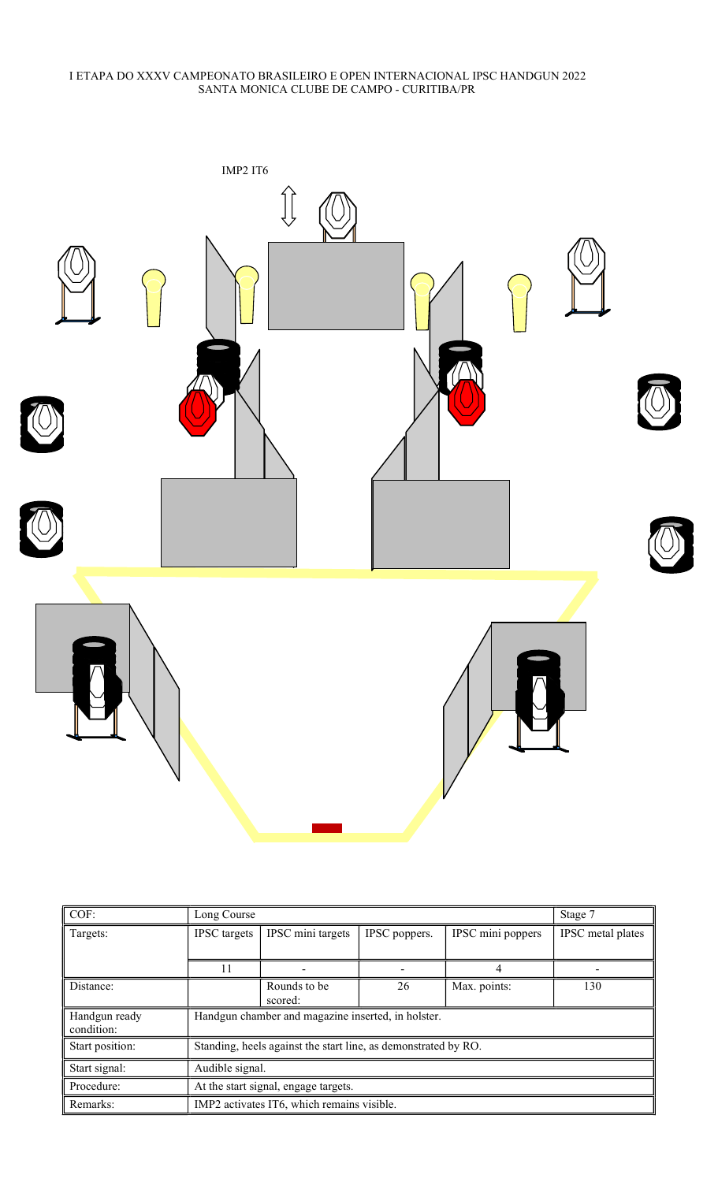

| COF:                        | Long Course                                                    |                                                    |               |                   | Stage 7           |  |  |
|-----------------------------|----------------------------------------------------------------|----------------------------------------------------|---------------|-------------------|-------------------|--|--|
| Targets:                    | <b>IPSC</b> targets                                            | IPSC mini targets                                  | IPSC poppers. | IPSC mini poppers | IPSC metal plates |  |  |
|                             |                                                                |                                                    |               |                   |                   |  |  |
|                             | 11                                                             |                                                    |               |                   |                   |  |  |
| Distance:                   |                                                                | Rounds to be<br>scored:                            | 26            | Max. points:      | 130               |  |  |
| Handgun ready<br>condition: |                                                                | Handgun chamber and magazine inserted, in holster. |               |                   |                   |  |  |
| Start position:             | Standing, heels against the start line, as demonstrated by RO. |                                                    |               |                   |                   |  |  |
| Start signal:               | Audible signal.                                                |                                                    |               |                   |                   |  |  |
| Procedure:                  | At the start signal, engage targets.                           |                                                    |               |                   |                   |  |  |
| Remarks:                    |                                                                | IMP2 activates IT6, which remains visible.         |               |                   |                   |  |  |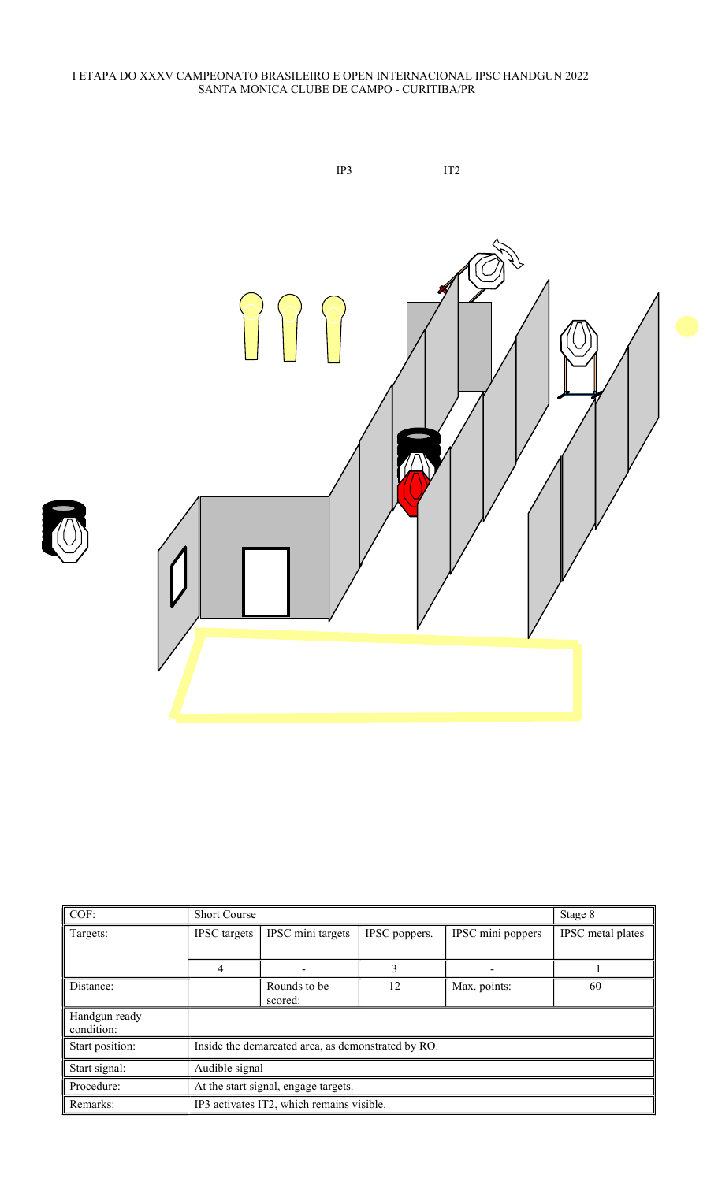

|--|

| COF:            | <b>Short Course</b>                  | Stage 8                                            |               |                   |                   |  |
|-----------------|--------------------------------------|----------------------------------------------------|---------------|-------------------|-------------------|--|
| Targets:        | <b>IPSC</b> targets                  | IPSC mini targets                                  | IPSC poppers. | IPSC mini poppers | IPSC metal plates |  |
|                 |                                      |                                                    |               |                   |                   |  |
|                 | 4                                    |                                                    | 3             |                   |                   |  |
| Distance:       |                                      | Rounds to be                                       | 12            | Max. points:      | 60                |  |
|                 |                                      | scored:                                            |               |                   |                   |  |
| Handgun ready   |                                      |                                                    |               |                   |                   |  |
| condition:      |                                      |                                                    |               |                   |                   |  |
| Start position: |                                      | Inside the demarcated area, as demonstrated by RO. |               |                   |                   |  |
| Start signal:   | Audible signal                       |                                                    |               |                   |                   |  |
| Procedure:      | At the start signal, engage targets. |                                                    |               |                   |                   |  |
| Remarks:        |                                      | IP3 activates IT2, which remains visible.          |               |                   |                   |  |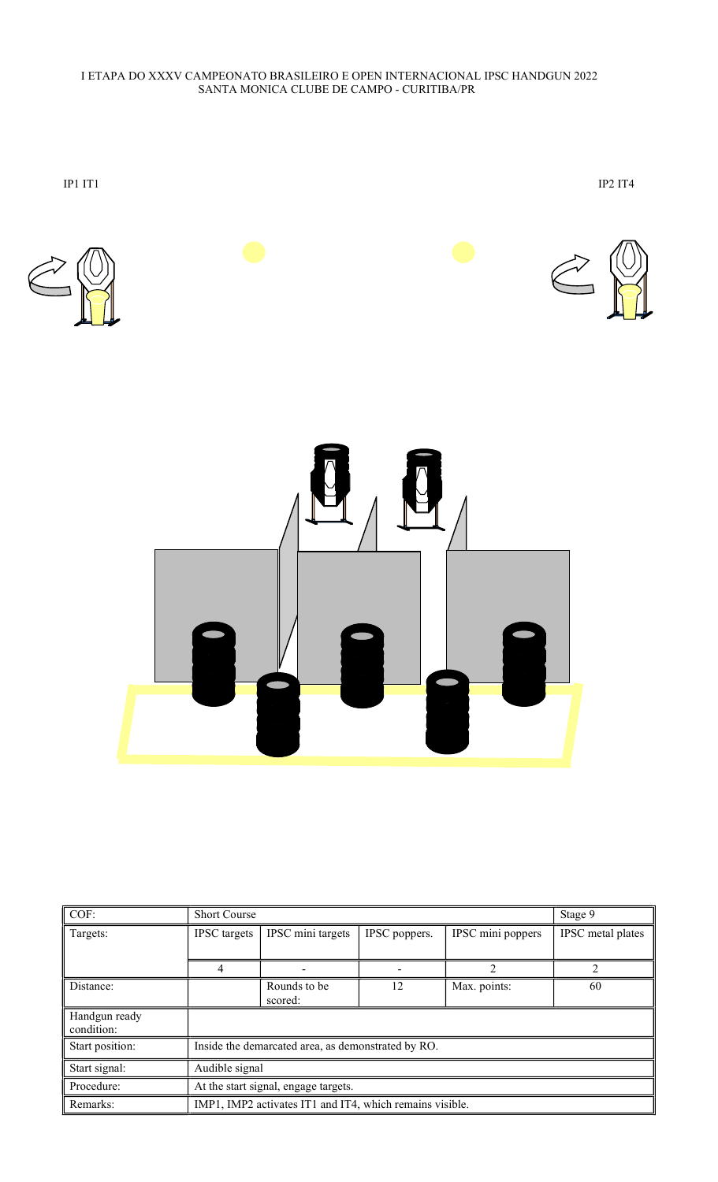

| COF:                        | <b>Short Course</b>                                      |                          |               |                                                                                                                                                                 | Stage 9           |  |  |
|-----------------------------|----------------------------------------------------------|--------------------------|---------------|-----------------------------------------------------------------------------------------------------------------------------------------------------------------|-------------------|--|--|
| Targets:                    | <b>IPSC</b> targets                                      | IPSC mini targets        | IPSC poppers. | IPSC mini poppers                                                                                                                                               | IPSC metal plates |  |  |
|                             |                                                          |                          |               |                                                                                                                                                                 |                   |  |  |
|                             | 4                                                        | $\overline{\phantom{0}}$ |               | $\mathcal{D}_{\mathcal{L}}^{\mathcal{L}}(\mathcal{L})=\mathcal{L}_{\mathcal{L}}^{\mathcal{L}}(\mathcal{L})\mathcal{L}_{\mathcal{L}}^{\mathcal{L}}(\mathcal{L})$ |                   |  |  |
| Distance:                   |                                                          | Rounds to be<br>scored:  | 12            | Max. points:                                                                                                                                                    | 60                |  |  |
| Handgun ready<br>condition: |                                                          |                          |               |                                                                                                                                                                 |                   |  |  |
| Start position:             | Inside the demarcated area, as demonstrated by RO.       |                          |               |                                                                                                                                                                 |                   |  |  |
| Start signal:               | Audible signal                                           |                          |               |                                                                                                                                                                 |                   |  |  |
| Procedure:                  | At the start signal, engage targets.                     |                          |               |                                                                                                                                                                 |                   |  |  |
| Remarks:                    | IMP1, IMP2 activates IT1 and IT4, which remains visible. |                          |               |                                                                                                                                                                 |                   |  |  |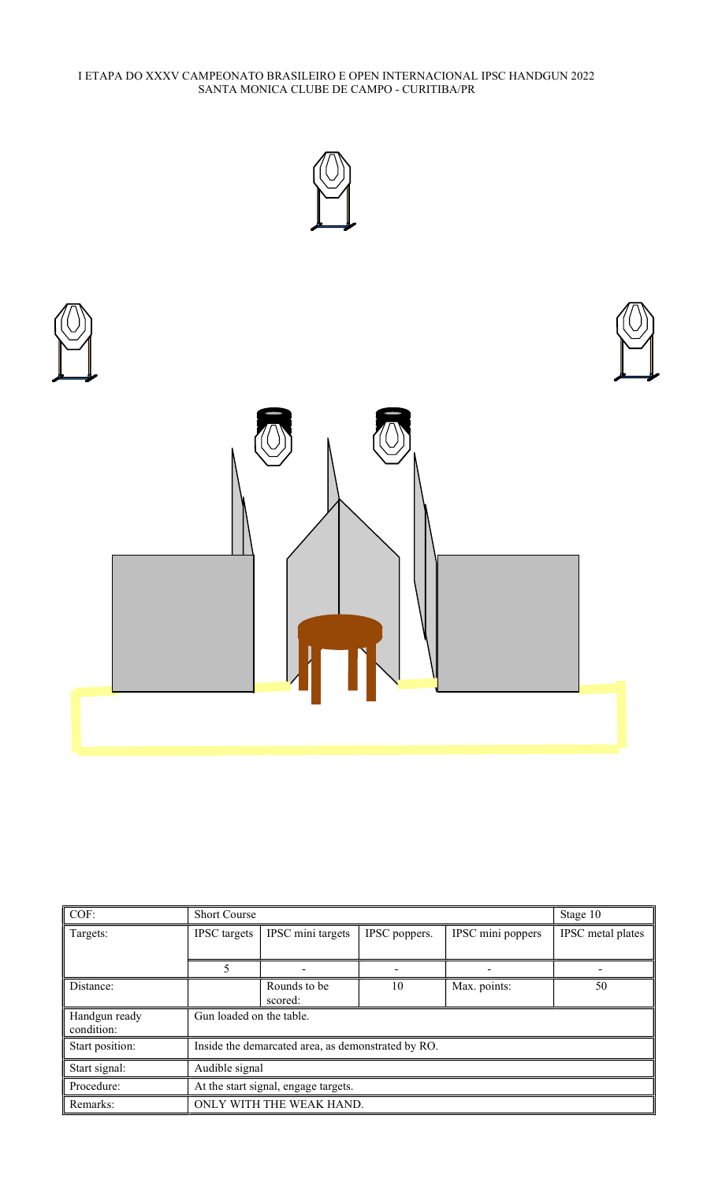



| COF:                        | <b>Short Course</b>                                |                         |               |                   | Stage 10          |  |  |
|-----------------------------|----------------------------------------------------|-------------------------|---------------|-------------------|-------------------|--|--|
| Targets:                    | <b>IPSC</b> targets                                | IPSC mini targets       | IPSC poppers. | IPSC mini poppers | IPSC metal plates |  |  |
|                             |                                                    |                         |               |                   |                   |  |  |
|                             |                                                    |                         |               |                   |                   |  |  |
| Distance:                   |                                                    | Rounds to be<br>scored: | 10            | Max. points:      | 50                |  |  |
| Handgun ready<br>condition: | Gun loaded on the table.                           |                         |               |                   |                   |  |  |
| Start position:             | Inside the demarcated area, as demonstrated by RO. |                         |               |                   |                   |  |  |
| Start signal:               | Audible signal                                     |                         |               |                   |                   |  |  |
| Procedure:                  | At the start signal, engage targets.               |                         |               |                   |                   |  |  |
| Remarks:                    | ONLY WITH THE WEAK HAND.                           |                         |               |                   |                   |  |  |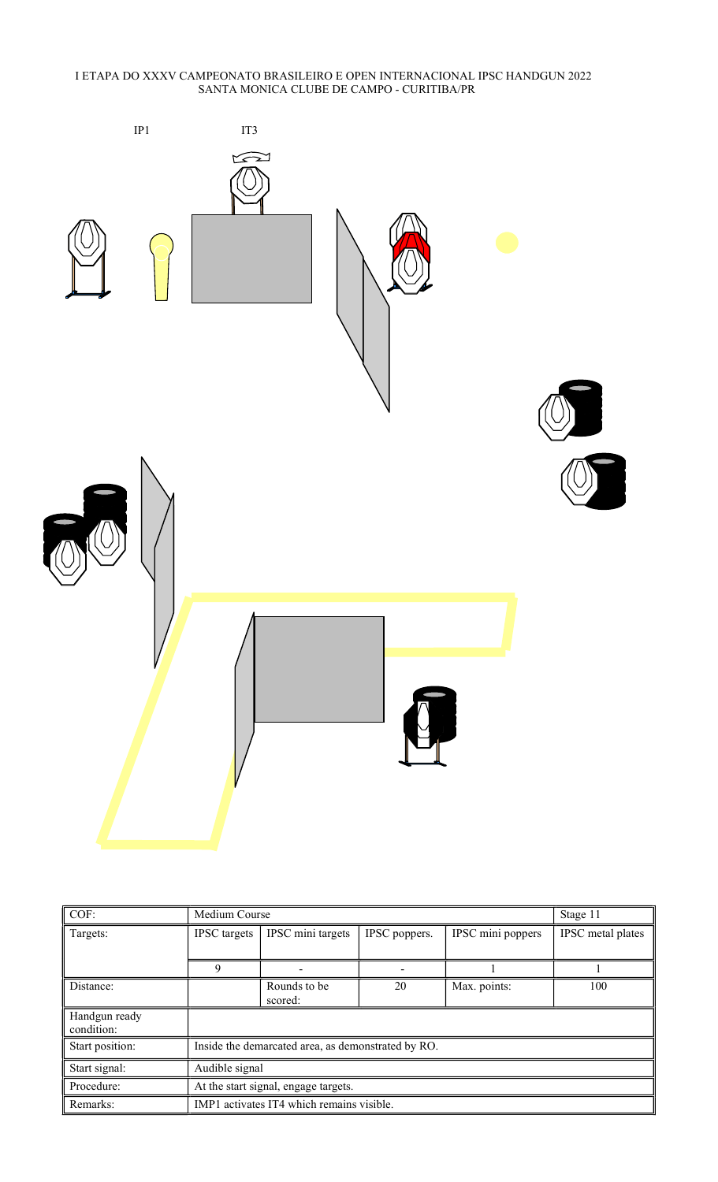

| COF:                        | Medium Course                                      |                         |               |                   | Stage 11          |  |  |
|-----------------------------|----------------------------------------------------|-------------------------|---------------|-------------------|-------------------|--|--|
| Targets:                    | <b>IPSC</b> targets                                | IPSC mini targets       | IPSC poppers. | IPSC mini poppers | IPSC metal plates |  |  |
|                             |                                                    |                         |               |                   |                   |  |  |
|                             | 9                                                  |                         |               |                   |                   |  |  |
| Distance:                   |                                                    | Rounds to be<br>scored: | 20            | Max. points:      | 100               |  |  |
| Handgun ready<br>condition: |                                                    |                         |               |                   |                   |  |  |
| Start position:             | Inside the demarcated area, as demonstrated by RO. |                         |               |                   |                   |  |  |
| Start signal:               | Audible signal                                     |                         |               |                   |                   |  |  |
| Procedure:                  | At the start signal, engage targets.               |                         |               |                   |                   |  |  |
| Remarks:                    | IMP1 activates IT4 which remains visible.          |                         |               |                   |                   |  |  |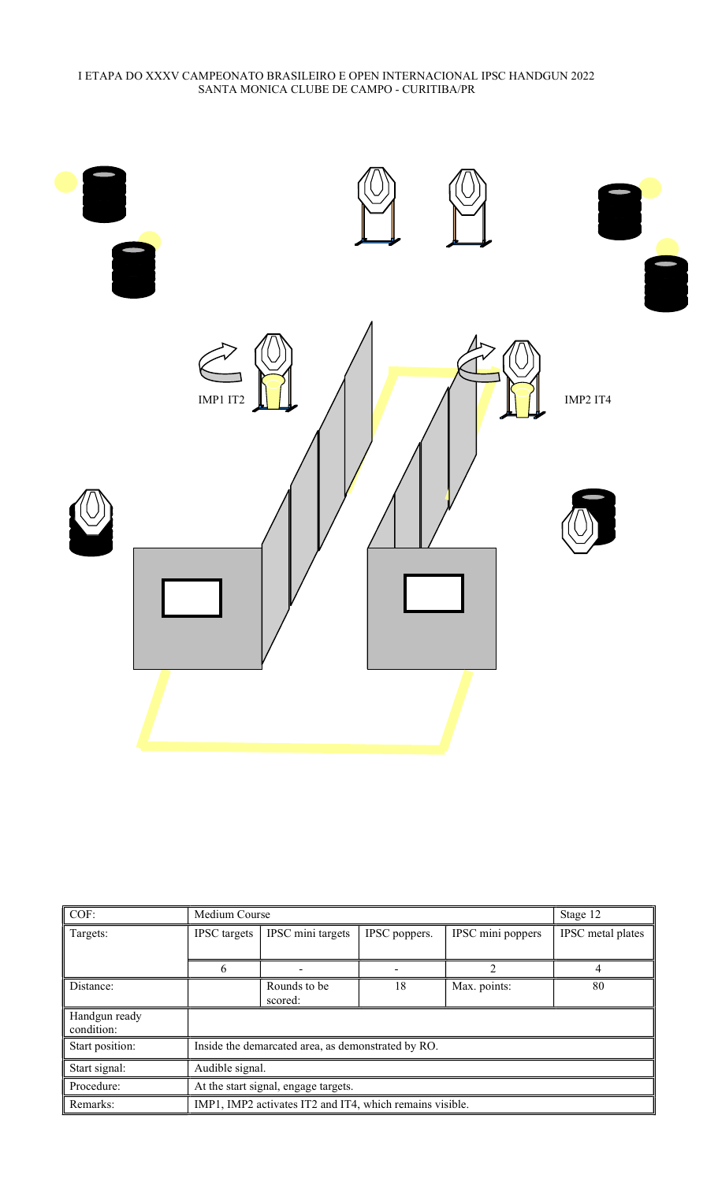

| COF:                        | Medium Course                                            |                         |               |                   | Stage 12          |  |
|-----------------------------|----------------------------------------------------------|-------------------------|---------------|-------------------|-------------------|--|
| Targets:                    | <b>IPSC</b> targets                                      | IPSC mini targets       | IPSC poppers. | IPSC mini poppers | IPSC metal plates |  |
|                             | 6                                                        |                         |               | 2                 | 4                 |  |
| Distance:                   |                                                          | Rounds to be<br>scored: | 18            | Max. points:      | 80                |  |
| Handgun ready<br>condition: |                                                          |                         |               |                   |                   |  |
| Start position:             | Inside the demarcated area, as demonstrated by RO.       |                         |               |                   |                   |  |
| Start signal:               | Audible signal.                                          |                         |               |                   |                   |  |
| Procedure:                  | At the start signal, engage targets.                     |                         |               |                   |                   |  |
| Remarks:                    | IMP1, IMP2 activates IT2 and IT4, which remains visible. |                         |               |                   |                   |  |